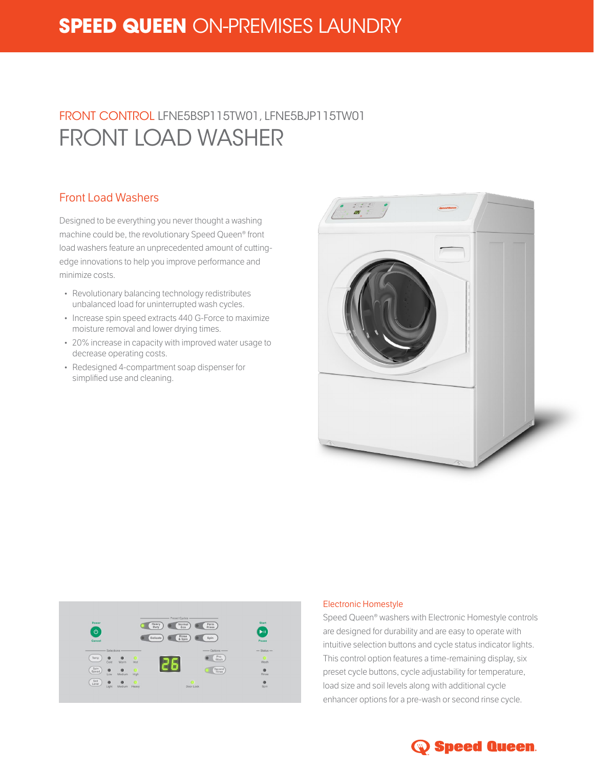# **SPEED QUEEN** ON-PREMISES LAUNDRY

# FRONT CONTROL LFNE5BSP115TW01, LFNE5BJP115TW01 FRONT LOAD WASHER

### Front Load Washers

Designed to be everything you never thought a washing machine could be, the revolutionary Speed Queen® front load washers feature an unprecedented amount of cuttingedge innovations to help you improve performance and minimize costs.

- Revolutionary balancing technology redistributes unbalanced load for uninterrupted wash cycles.
- Increase spin speed extracts 440 G-Force to maximize moisture removal and lower drying times.
- 20% increase in capacity with improved water usage to decrease operating costs.
- Redesigned 4-compartment soap dispenser for simplified use and cleaning.





#### Electronic Homestyle

Speed Queen® washers with Electronic Homestyle controls are designed for durability and are easy to operate with intuitive selection buttons and cycle status indicator lights. This control option features a time-remaining display, six preset cycle buttons, cycle adjustability for temperature, load size and soil levels along with additional cycle enhancer options for a pre-wash or second rinse cycle.